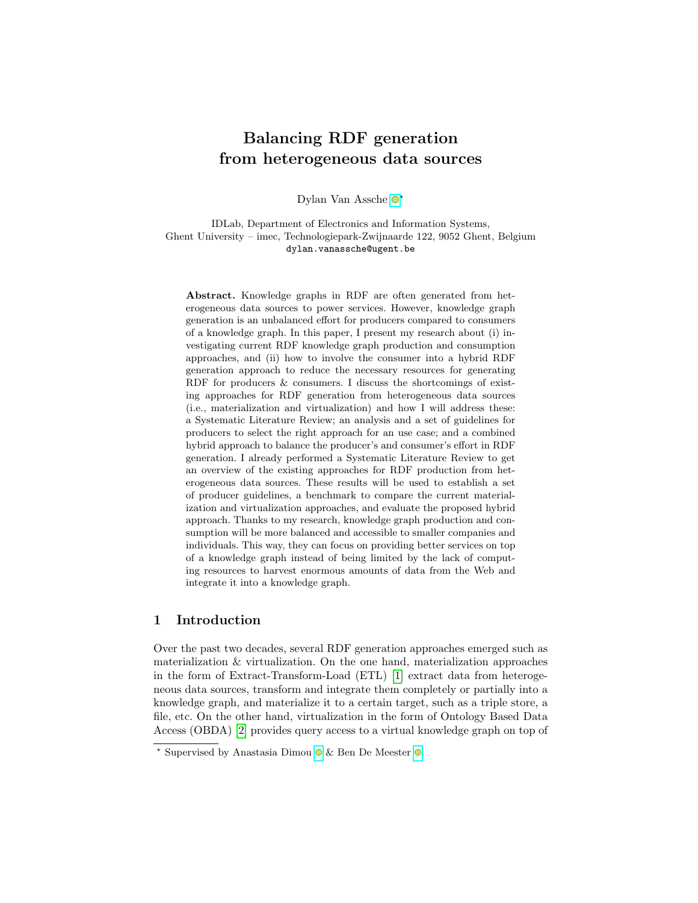# Balancing RDF generation from heterogeneous data sources

Dylan Van Assche  $\mathbf{\Theta}^{\star}$ 

IDLab, Department of Electronics and Information Systems, Ghent University – imec, Technologiepark-Zwijnaarde 122, 9052 Ghent, Belgium dylan.vanassche@ugent.be

Abstract. Knowledge graphs in RDF are often generated from heterogeneous data sources to power services. However, knowledge graph generation is an unbalanced effort for producers compared to consumers of a knowledge graph. In this paper, I present my research about (i) investigating current RDF knowledge graph production and consumption approaches, and (ii) how to involve the consumer into a hybrid RDF generation approach to reduce the necessary resources for generating RDF for producers & consumers. I discuss the shortcomings of existing approaches for RDF generation from heterogeneous data sources (i.e., materialization and virtualization) and how I will address these: a Systematic Literature Review; an analysis and a set of guidelines for producers to select the right approach for an use case; and a combined hybrid approach to balance the producer's and consumer's effort in RDF generation. I already performed a Systematic Literature Review to get an overview of the existing approaches for RDF production from heterogeneous data sources. These results will be used to establish a set of producer guidelines, a benchmark to compare the current materialization and virtualization approaches, and evaluate the proposed hybrid approach. Thanks to my research, knowledge graph production and consumption will be more balanced and accessible to smaller companies and individuals. This way, they can focus on providing better services on top of a knowledge graph instead of being limited by the lack of computing resources to harvest enormous amounts of data from the Web and integrate it into a knowledge graph.

# 1 Introduction

Over the past two decades, several RDF generation approaches emerged such as materialization & virtualization. On the one hand, materialization approaches in the form of Extract-Transform-Load (ETL) [\[1\]](#page-8-0) extract data from heterogeneous data sources, transform and integrate them completely or partially into a knowledge graph, and materialize it to a certain target, such as a triple store, a file, etc. On the other hand, virtualization in the form of Ontology Based Data Access (OBDA) [\[2\]](#page-8-1) provides query access to a virtual knowledge graph on top of

 $\star$  Supervised by Anastasia Dimou  $\bullet$  & Ben De Meester  $\bullet$ [.](https://orcid.org/0000-0003-0248-0987)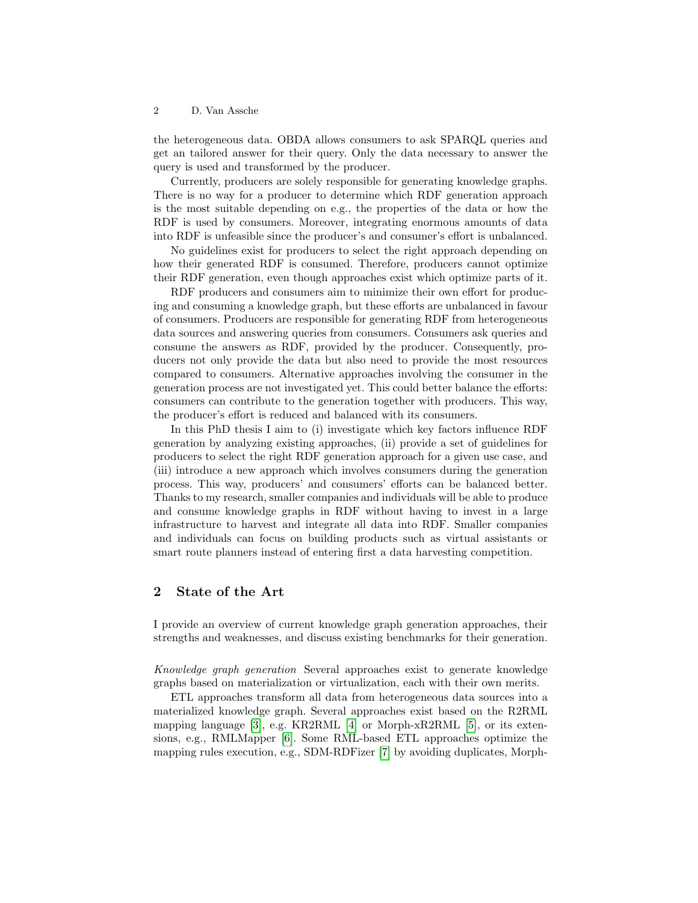### 2 D. Van Assche

the heterogeneous data. OBDA allows consumers to ask SPARQL queries and get an tailored answer for their query. Only the data necessary to answer the query is used and transformed by the producer.

Currently, producers are solely responsible for generating knowledge graphs. There is no way for a producer to determine which RDF generation approach is the most suitable depending on e.g., the properties of the data or how the RDF is used by consumers. Moreover, integrating enormous amounts of data into RDF is unfeasible since the producer's and consumer's effort is unbalanced.

No guidelines exist for producers to select the right approach depending on how their generated RDF is consumed. Therefore, producers cannot optimize their RDF generation, even though approaches exist which optimize parts of it.

RDF producers and consumers aim to minimize their own effort for producing and consuming a knowledge graph, but these efforts are unbalanced in favour of consumers. Producers are responsible for generating RDF from heterogeneous data sources and answering queries from consumers. Consumers ask queries and consume the answers as RDF, provided by the producer. Consequently, producers not only provide the data but also need to provide the most resources compared to consumers. Alternative approaches involving the consumer in the generation process are not investigated yet. This could better balance the efforts: consumers can contribute to the generation together with producers. This way, the producer's effort is reduced and balanced with its consumers.

In this PhD thesis I aim to (i) investigate which key factors influence RDF generation by analyzing existing approaches, (ii) provide a set of guidelines for producers to select the right RDF generation approach for a given use case, and (iii) introduce a new approach which involves consumers during the generation process. This way, producers' and consumers' efforts can be balanced better. Thanks to my research, smaller companies and individuals will be able to produce and consume knowledge graphs in RDF without having to invest in a large infrastructure to harvest and integrate all data into RDF. Smaller companies and individuals can focus on building products such as virtual assistants or smart route planners instead of entering first a data harvesting competition.

# 2 State of the Art

I provide an overview of current knowledge graph generation approaches, their strengths and weaknesses, and discuss existing benchmarks for their generation.

Knowledge graph generation Several approaches exist to generate knowledge graphs based on materialization or virtualization, each with their own merits.

ETL approaches transform all data from heterogeneous data sources into a materialized knowledge graph. Several approaches exist based on the R2RML mapping language [\[3\]](#page-8-2), e.g. KR2RML [\[4\]](#page-8-3) or Morph-xR2RML [\[5\]](#page-8-4), or its extensions, e.g., RMLMapper [\[6\]](#page-8-5). Some RML-based ETL approaches optimize the mapping rules execution, e.g., SDM-RDFizer [\[7\]](#page-8-6) by avoiding duplicates, Morph-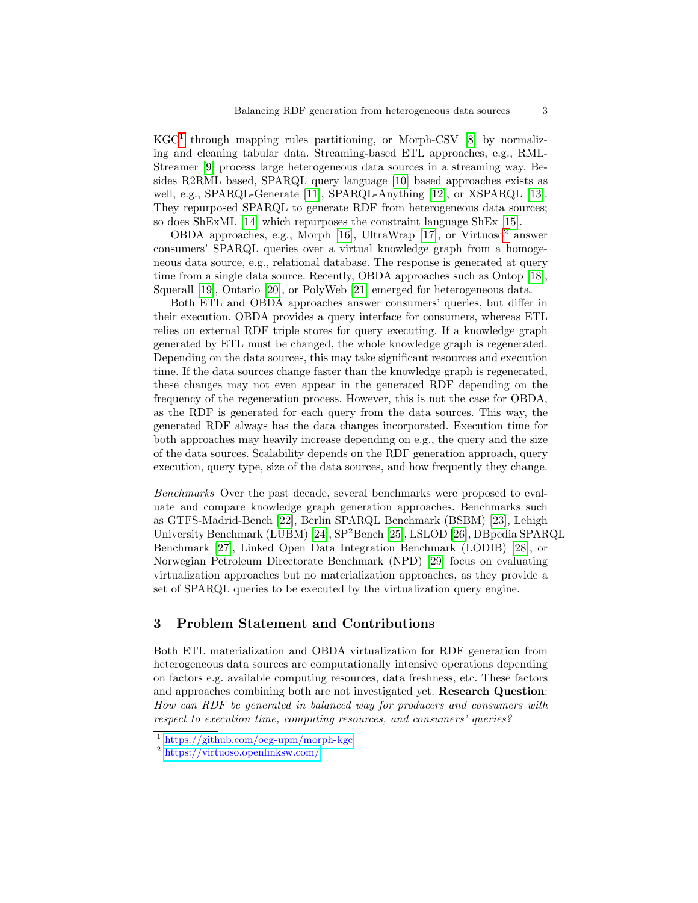KGC[1](#page-2-0) through mapping rules partitioning, or Morph-CSV [\[8\]](#page-8-7) by normalizing and cleaning tabular data. Streaming-based ETL approaches, e.g., RML-Streamer [\[9\]](#page-8-8) process large heterogeneous data sources in a streaming way. Besides R2RML based, SPARQL query language [\[10\]](#page-8-9) based approaches exists as well, e.g., SPARQL-Generate [\[11\]](#page-8-10), SPARQL-Anything [\[12\]](#page-8-11), or XSPARQL [\[13\]](#page-8-12). They repurposed SPARQL to generate RDF from heterogeneous data sources; so does ShExML [\[14\]](#page-8-13) which repurposes the constraint language ShEx [\[15\]](#page-8-14).

OBDA approaches, e.g., Morph [\[16\]](#page-8-15), UltraWrap [\[17\]](#page-9-0), or Virtuoso<sup>[2](#page-2-1)</sup> answer consumers' SPARQL queries over a virtual knowledge graph from a homogeneous data source, e.g., relational database. The response is generated at query time from a single data source. Recently, OBDA approaches such as Ontop [\[18\]](#page-9-1), Squerall [\[19\]](#page-9-2), Ontario [\[20\]](#page-9-3), or PolyWeb [\[21\]](#page-9-4) emerged for heterogeneous data.

Both ETL and OBDA approaches answer consumers' queries, but differ in their execution. OBDA provides a query interface for consumers, whereas ETL relies on external RDF triple stores for query executing. If a knowledge graph generated by ETL must be changed, the whole knowledge graph is regenerated. Depending on the data sources, this may take significant resources and execution time. If the data sources change faster than the knowledge graph is regenerated, these changes may not even appear in the generated RDF depending on the frequency of the regeneration process. However, this is not the case for OBDA, as the RDF is generated for each query from the data sources. This way, the generated RDF always has the data changes incorporated. Execution time for both approaches may heavily increase depending on e.g., the query and the size of the data sources. Scalability depends on the RDF generation approach, query execution, query type, size of the data sources, and how frequently they change.

Benchmarks Over the past decade, several benchmarks were proposed to evaluate and compare knowledge graph generation approaches. Benchmarks such as GTFS-Madrid-Bench [\[22\]](#page-9-5), Berlin SPARQL Benchmark (BSBM) [\[23\]](#page-9-6), Lehigh University Benchmark (LUBM) [\[24\]](#page-9-7), SP2Bench [\[25\]](#page-9-8), LSLOD [\[26\]](#page-9-9), DBpedia SPARQL Benchmark [\[27\]](#page-9-10), Linked Open Data Integration Benchmark (LODIB) [\[28\]](#page-9-11), or Norwegian Petroleum Directorate Benchmark (NPD) [\[29\]](#page-9-12) focus on evaluating virtualization approaches but no materialization approaches, as they provide a set of SPARQL queries to be executed by the virtualization query engine.

# 3 Problem Statement and Contributions

Both ETL materialization and OBDA virtualization for RDF generation from heterogeneous data sources are computationally intensive operations depending on factors e.g. available computing resources, data freshness, etc. These factors and approaches combining both are not investigated yet. Research Question: How can RDF be generated in balanced way for producers and consumers with respect to execution time, computing resources, and consumers' queries?

<span id="page-2-0"></span><sup>&</sup>lt;sup>1</sup> <https://github.com/oeg-upm/morph-kgc>

<span id="page-2-1"></span><sup>2</sup> <https://virtuoso.openlinksw.com/>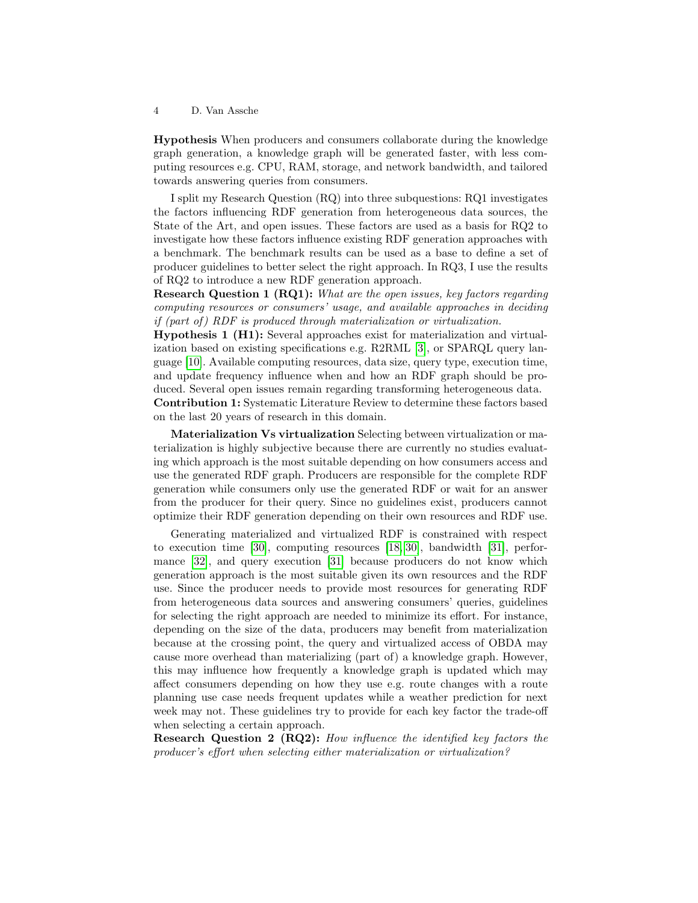Hypothesis When producers and consumers collaborate during the knowledge graph generation, a knowledge graph will be generated faster, with less computing resources e.g. CPU, RAM, storage, and network bandwidth, and tailored towards answering queries from consumers.

I split my Research Question (RQ) into three subquestions: RQ1 investigates the factors influencing RDF generation from heterogeneous data sources, the State of the Art, and open issues. These factors are used as a basis for RQ2 to investigate how these factors influence existing RDF generation approaches with a benchmark. The benchmark results can be used as a base to define a set of producer guidelines to better select the right approach. In RQ3, I use the results of RQ2 to introduce a new RDF generation approach.

Research Question 1 (RQ1): What are the open issues, key factors regarding computing resources or consumers' usage, and available approaches in deciding if (part of) RDF is produced through materialization or virtualization.

Hypothesis 1 (H1): Several approaches exist for materialization and virtualization based on existing specifications e.g. R2RML [\[3\]](#page-8-2), or SPARQL query language [\[10\]](#page-8-9). Available computing resources, data size, query type, execution time, and update frequency influence when and how an RDF graph should be produced. Several open issues remain regarding transforming heterogeneous data. Contribution 1: Systematic Literature Review to determine these factors based on the last 20 years of research in this domain.

Materialization Vs virtualization Selecting between virtualization or materialization is highly subjective because there are currently no studies evaluating which approach is the most suitable depending on how consumers access and use the generated RDF graph. Producers are responsible for the complete RDF generation while consumers only use the generated RDF or wait for an answer from the producer for their query. Since no guidelines exist, producers cannot optimize their RDF generation depending on their own resources and RDF use.

Generating materialized and virtualized RDF is constrained with respect to execution time [\[30\]](#page-9-13), computing resources [\[18,](#page-9-1) [30\]](#page-9-13), bandwidth [\[31\]](#page-9-14), performance [\[32\]](#page-9-15), and query execution [\[31\]](#page-9-14) because producers do not know which generation approach is the most suitable given its own resources and the RDF use. Since the producer needs to provide most resources for generating RDF from heterogeneous data sources and answering consumers' queries, guidelines for selecting the right approach are needed to minimize its effort. For instance, depending on the size of the data, producers may benefit from materialization because at the crossing point, the query and virtualized access of OBDA may cause more overhead than materializing (part of) a knowledge graph. However, this may influence how frequently a knowledge graph is updated which may affect consumers depending on how they use e.g. route changes with a route planning use case needs frequent updates while a weather prediction for next week may not. These guidelines try to provide for each key factor the trade-off when selecting a certain approach.

Research Question 2 (RQ2): How influence the identified key factors the producer's effort when selecting either materialization or virtualization?

<sup>4</sup> D. Van Assche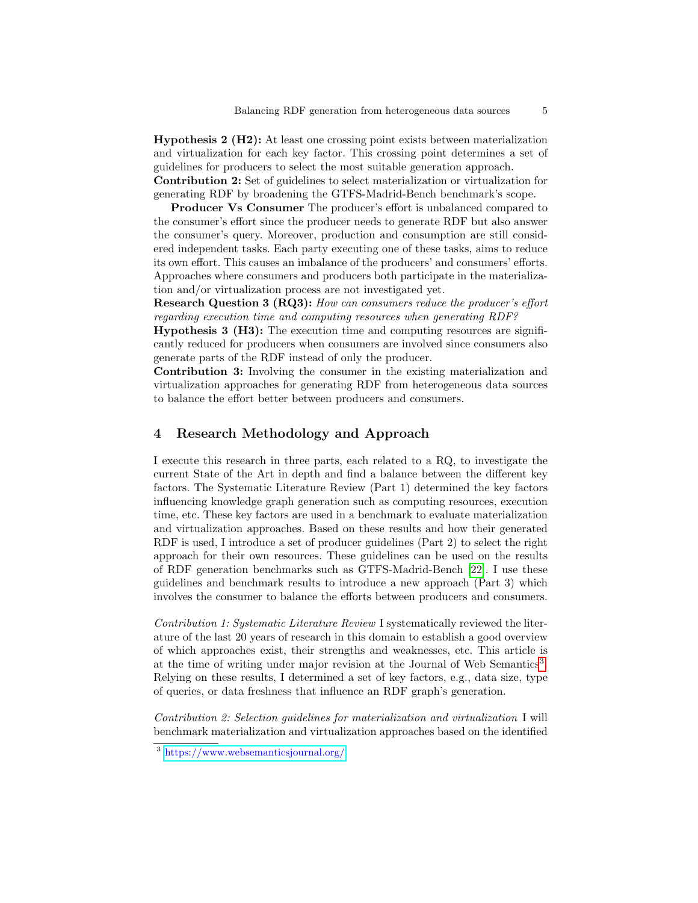Hypothesis 2 (H2): At least one crossing point exists between materialization and virtualization for each key factor. This crossing point determines a set of guidelines for producers to select the most suitable generation approach. Contribution 2: Set of guidelines to select materialization or virtualization for

generating RDF by broadening the GTFS-Madrid-Bench benchmark's scope.

Producer Vs Consumer The producer's effort is unbalanced compared to the consumer's effort since the producer needs to generate RDF but also answer the consumer's query. Moreover, production and consumption are still considered independent tasks. Each party executing one of these tasks, aims to reduce its own effort. This causes an imbalance of the producers' and consumers' efforts. Approaches where consumers and producers both participate in the materialization and/or virtualization process are not investigated yet.

Research Question 3 (RQ3): How can consumers reduce the producer's effort regarding execution time and computing resources when generating RDF?

Hypothesis 3 (H3): The execution time and computing resources are significantly reduced for producers when consumers are involved since consumers also generate parts of the RDF instead of only the producer.

Contribution 3: Involving the consumer in the existing materialization and virtualization approaches for generating RDF from heterogeneous data sources to balance the effort better between producers and consumers.

## 4 Research Methodology and Approach

I execute this research in three parts, each related to a RQ, to investigate the current State of the Art in depth and find a balance between the different key factors. The Systematic Literature Review (Part 1) determined the key factors influencing knowledge graph generation such as computing resources, execution time, etc. These key factors are used in a benchmark to evaluate materialization and virtualization approaches. Based on these results and how their generated RDF is used, I introduce a set of producer guidelines (Part 2) to select the right approach for their own resources. These guidelines can be used on the results of RDF generation benchmarks such as GTFS-Madrid-Bench [\[22\]](#page-9-5). I use these guidelines and benchmark results to introduce a new approach (Part 3) which involves the consumer to balance the efforts between producers and consumers.

<span id="page-4-1"></span>Contribution 1: Systematic Literature Review I systematically reviewed the literature of the last 20 years of research in this domain to establish a good overview of which approaches exist, their strengths and weaknesses, etc. This article is at the time of writing under major revision at the Journal of Web Semantics<sup>[3](#page-4-0)</sup>. Relying on these results, I determined a set of key factors, e.g., data size, type of queries, or data freshness that influence an RDF graph's generation.

Contribution 2: Selection guidelines for materialization and virtualization I will benchmark materialization and virtualization approaches based on the identified

<span id="page-4-0"></span><sup>3</sup> <https://www.websemanticsjournal.org/>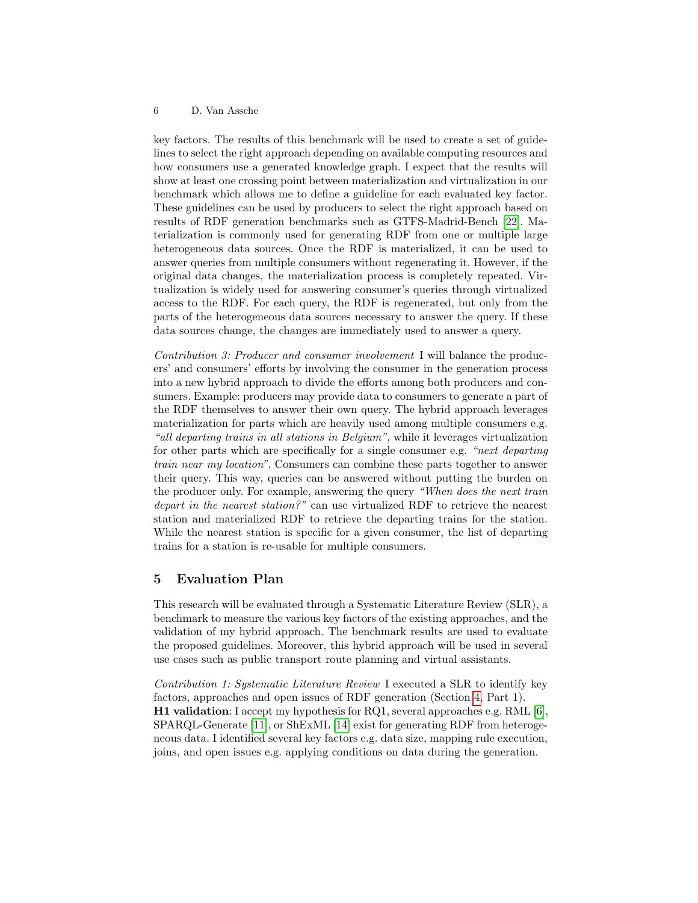#### 6 D. Van Assche

key factors. The results of this benchmark will be used to create a set of guidelines to select the right approach depending on available computing resources and how consumers use a generated knowledge graph. I expect that the results will show at least one crossing point between materialization and virtualization in our benchmark which allows me to define a guideline for each evaluated key factor. These guidelines can be used by producers to select the right approach based on results of RDF generation benchmarks such as GTFS-Madrid-Bench [\[22\]](#page-9-5). Materialization is commonly used for generating RDF from one or multiple large heterogeneous data sources. Once the RDF is materialized, it can be used to answer queries from multiple consumers without regenerating it. However, if the original data changes, the materialization process is completely repeated. Virtualization is widely used for answering consumer's queries through virtualized access to the RDF. For each query, the RDF is regenerated, but only from the parts of the heterogeneous data sources necessary to answer the query. If these data sources change, the changes are immediately used to answer a query.

Contribution 3: Producer and consumer involvement I will balance the producers' and consumers' efforts by involving the consumer in the generation process into a new hybrid approach to divide the efforts among both producers and consumers. Example: producers may provide data to consumers to generate a part of the RDF themselves to answer their own query. The hybrid approach leverages materialization for parts which are heavily used among multiple consumers e.g. "all departing trains in all stations in Belgium", while it leverages virtualization for other parts which are specifically for a single consumer e.g. "next departing train near my location". Consumers can combine these parts together to answer their query. This way, queries can be answered without putting the burden on the producer only. For example, answering the query "When does the next train depart in the nearest station?" can use virtualized RDF to retrieve the nearest station and materialized RDF to retrieve the departing trains for the station. While the nearest station is specific for a given consumer, the list of departing trains for a station is re-usable for multiple consumers.

# 5 Evaluation Plan

This research will be evaluated through a Systematic Literature Review (SLR), a benchmark to measure the various key factors of the existing approaches, and the validation of my hybrid approach. The benchmark results are used to evaluate the proposed guidelines. Moreover, this hybrid approach will be used in several use cases such as public transport route planning and virtual assistants.

Contribution 1: Systematic Literature Review I executed a SLR to identify key factors, approaches and open issues of RDF generation (Section [4,](#page-4-1) Part 1). **H1 validation:** I accept my hypothesis for  $RQ1$ , several approaches e.g. RML [\[6\]](#page-8-5), SPARQL-Generate [\[11\]](#page-8-10), or ShExML [\[14\]](#page-8-13) exist for generating RDF from heterogeneous data. I identified several key factors e.g. data size, mapping rule execution, joins, and open issues e.g. applying conditions on data during the generation.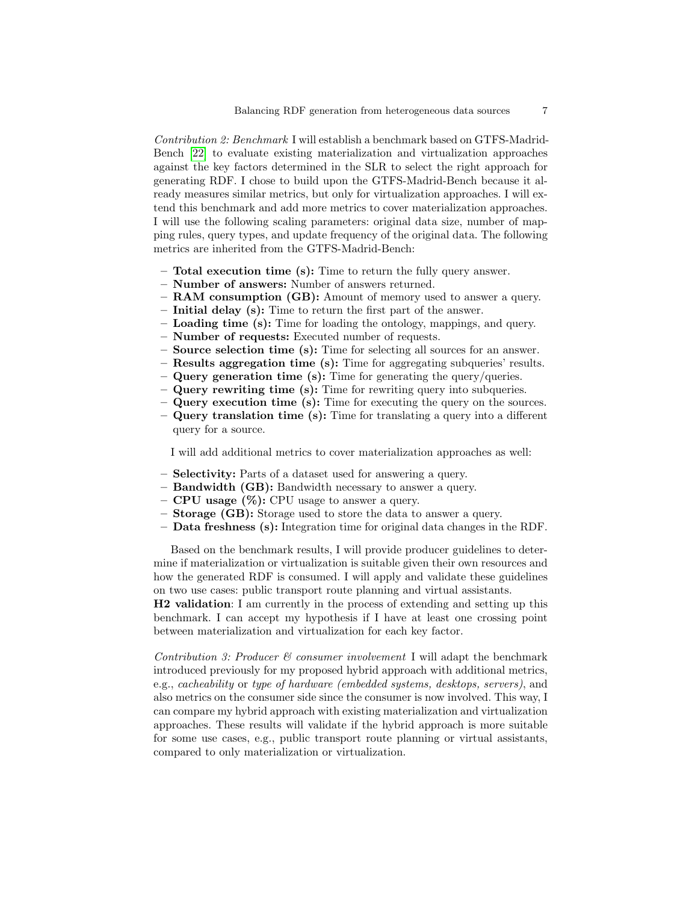Contribution 2: Benchmark I will establish a benchmark based on GTFS-Madrid-Bench [\[22\]](#page-9-5) to evaluate existing materialization and virtualization approaches against the key factors determined in the SLR to select the right approach for generating RDF. I chose to build upon the GTFS-Madrid-Bench because it already measures similar metrics, but only for virtualization approaches. I will extend this benchmark and add more metrics to cover materialization approaches. I will use the following scaling parameters: original data size, number of mapping rules, query types, and update frequency of the original data. The following metrics are inherited from the GTFS-Madrid-Bench:

- Total execution time (s): Time to return the fully query answer.
- Number of answers: Number of answers returned.
- RAM consumption (GB): Amount of memory used to answer a query.
- Initial delay (s): Time to return the first part of the answer.
- Loading time (s): Time for loading the ontology, mappings, and query.
- Number of requests: Executed number of requests.
- Source selection time (s): Time for selecting all sources for an answer.
- Results aggregation time (s): Time for aggregating subqueries' results.
- Query generation time (s): Time for generating the query/queries.
- Query rewriting time (s): Time for rewriting query into subqueries.
- Query execution time (s): Time for executing the query on the sources.
- Query translation time (s): Time for translating a query into a different query for a source.

I will add additional metrics to cover materialization approaches as well:

- Selectivity: Parts of a dataset used for answering a query.
- Bandwidth (GB): Bandwidth necessary to answer a query.
- CPU usage  $(\%)$ : CPU usage to answer a query.
- Storage (GB): Storage used to store the data to answer a query.
- Data freshness (s): Integration time for original data changes in the RDF.

Based on the benchmark results, I will provide producer guidelines to determine if materialization or virtualization is suitable given their own resources and how the generated RDF is consumed. I will apply and validate these guidelines on two use cases: public transport route planning and virtual assistants.

H2 validation: I am currently in the process of extending and setting up this benchmark. I can accept my hypothesis if I have at least one crossing point between materialization and virtualization for each key factor.

Contribution 3: Producer  $\mathcal{B}$  consumer involvement I will adapt the benchmark introduced previously for my proposed hybrid approach with additional metrics, e.g., cacheability or type of hardware (embedded systems, desktops, servers), and also metrics on the consumer side since the consumer is now involved. This way, I can compare my hybrid approach with existing materialization and virtualization approaches. These results will validate if the hybrid approach is more suitable for some use cases, e.g., public transport route planning or virtual assistants, compared to only materialization or virtualization.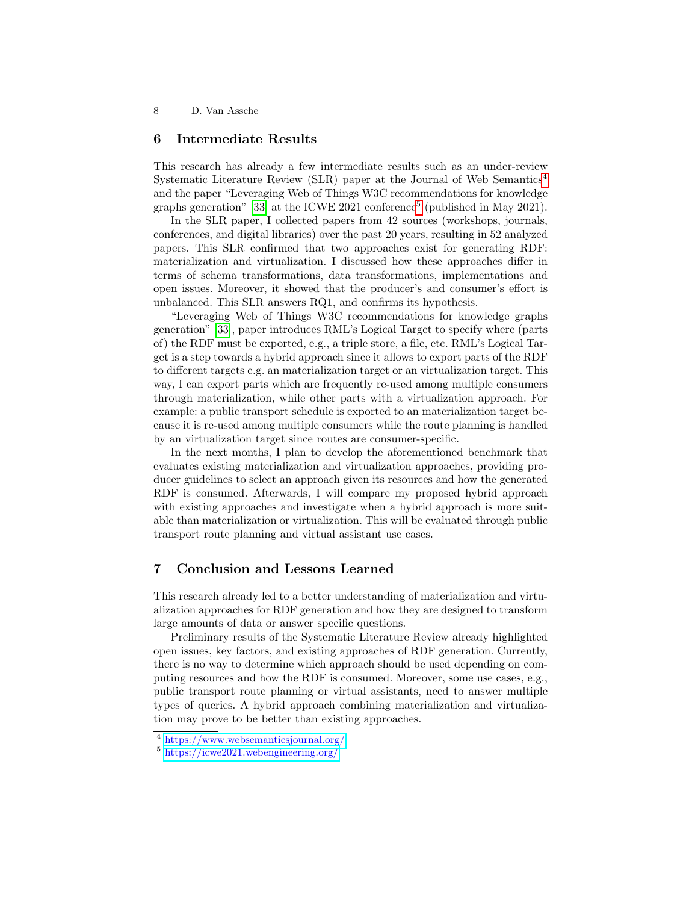8 D. Van Assche

### 6 Intermediate Results

This research has already a few intermediate results such as an under-review Systematic Literature Review (SLR) paper at the Journal of Web Semantics[4](#page-7-0) and the paper "Leveraging Web of Things W3C recommendations for knowledge graphs generation" [\[33\]](#page-9-16) at the ICWE 2021 conference<sup>[5](#page-7-1)</sup> (published in May 2021).

In the SLR paper, I collected papers from 42 sources (workshops, journals, conferences, and digital libraries) over the past 20 years, resulting in 52 analyzed papers. This SLR confirmed that two approaches exist for generating RDF: materialization and virtualization. I discussed how these approaches differ in terms of schema transformations, data transformations, implementations and open issues. Moreover, it showed that the producer's and consumer's effort is unbalanced. This SLR answers RQ1, and confirms its hypothesis.

"Leveraging Web of Things W3C recommendations for knowledge graphs generation" [\[33\]](#page-9-16), paper introduces RML's Logical Target to specify where (parts of) the RDF must be exported, e.g., a triple store, a file, etc. RML's Logical Target is a step towards a hybrid approach since it allows to export parts of the RDF to different targets e.g. an materialization target or an virtualization target. This way, I can export parts which are frequently re-used among multiple consumers through materialization, while other parts with a virtualization approach. For example: a public transport schedule is exported to an materialization target because it is re-used among multiple consumers while the route planning is handled by an virtualization target since routes are consumer-specific.

In the next months, I plan to develop the aforementioned benchmark that evaluates existing materialization and virtualization approaches, providing producer guidelines to select an approach given its resources and how the generated RDF is consumed. Afterwards, I will compare my proposed hybrid approach with existing approaches and investigate when a hybrid approach is more suitable than materialization or virtualization. This will be evaluated through public transport route planning and virtual assistant use cases.

### 7 Conclusion and Lessons Learned

This research already led to a better understanding of materialization and virtualization approaches for RDF generation and how they are designed to transform large amounts of data or answer specific questions.

Preliminary results of the Systematic Literature Review already highlighted open issues, key factors, and existing approaches of RDF generation. Currently, there is no way to determine which approach should be used depending on computing resources and how the RDF is consumed. Moreover, some use cases, e.g., public transport route planning or virtual assistants, need to answer multiple types of queries. A hybrid approach combining materialization and virtualization may prove to be better than existing approaches.

<span id="page-7-0"></span><sup>4</sup> <https://www.websemanticsjournal.org/>

<span id="page-7-1"></span><sup>5</sup> <https://icwe2021.webengineering.org/>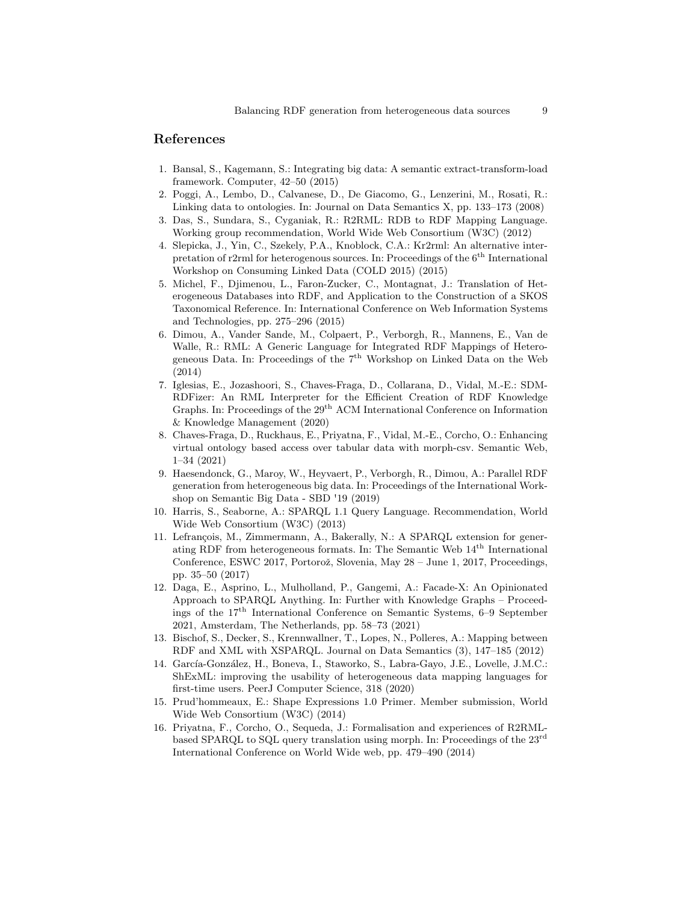### References

- <span id="page-8-0"></span>1. Bansal, S., Kagemann, S.: Integrating big data: A semantic extract-transform-load framework. Computer, 42–50 (2015)
- <span id="page-8-1"></span>2. Poggi, A., Lembo, D., Calvanese, D., De Giacomo, G., Lenzerini, M., Rosati, R.: Linking data to ontologies. In: Journal on Data Semantics X, pp. 133–173 (2008)
- <span id="page-8-2"></span>3. Das, S., Sundara, S., Cyganiak, R.: R2RML: RDB to RDF Mapping Language. Working group recommendation, World Wide Web Consortium (W3C) (2012)
- <span id="page-8-3"></span>4. Slepicka, J., Yin, C., Szekely, P.A., Knoblock, C.A.: Kr2rml: An alternative interpretation of r2rml for heterogenous sources. In: Proceedings of the  $6<sup>th</sup>$  International Workshop on Consuming Linked Data (COLD 2015) (2015)
- <span id="page-8-4"></span>5. Michel, F., Djimenou, L., Faron-Zucker, C., Montagnat, J.: Translation of Heterogeneous Databases into RDF, and Application to the Construction of a SKOS Taxonomical Reference. In: International Conference on Web Information Systems and Technologies, pp. 275–296 (2015)
- <span id="page-8-5"></span>6. Dimou, A., Vander Sande, M., Colpaert, P., Verborgh, R., Mannens, E., Van de Walle, R.: RML: A Generic Language for Integrated RDF Mappings of Heterogeneous Data. In: Proceedings of the 7<sup>th</sup> Workshop on Linked Data on the Web (2014)
- <span id="page-8-6"></span>7. Iglesias, E., Jozashoori, S., Chaves-Fraga, D., Collarana, D., Vidal, M.-E.: SDM-RDFizer: An RML Interpreter for the Efficient Creation of RDF Knowledge Graphs. In: Proceedings of the 29<sup>th</sup> ACM International Conference on Information & Knowledge Management (2020)
- <span id="page-8-7"></span>8. Chaves-Fraga, D., Ruckhaus, E., Priyatna, F., Vidal, M.-E., Corcho, O.: Enhancing virtual ontology based access over tabular data with morph-csv. Semantic Web, 1–34 (2021)
- <span id="page-8-8"></span>9. Haesendonck, G., Maroy, W., Heyvaert, P., Verborgh, R., Dimou, A.: Parallel RDF generation from heterogeneous big data. In: Proceedings of the International Workshop on Semantic Big Data - SBD '19 (2019)
- <span id="page-8-9"></span>10. Harris, S., Seaborne, A.: SPARQL 1.1 Query Language. Recommendation, World Wide Web Consortium (W3C) (2013)
- <span id="page-8-10"></span>11. Lefrançois, M., Zimmermann, A., Bakerally, N.: A SPARQL extension for generating RDF from heterogeneous formats. In: The Semantic Web 14th International Conference, ESWC 2017, Portorož, Slovenia, May 28 – June 1, 2017, Proceedings, pp. 35–50 (2017)
- <span id="page-8-11"></span>12. Daga, E., Asprino, L., Mulholland, P., Gangemi, A.: Facade-X: An Opinionated Approach to SPARQL Anything. In: Further with Knowledge Graphs – Proceedings of the 17th International Conference on Semantic Systems, 6–9 September 2021, Amsterdam, The Netherlands, pp. 58–73 (2021)
- <span id="page-8-12"></span>13. Bischof, S., Decker, S., Krennwallner, T., Lopes, N., Polleres, A.: Mapping between RDF and XML with XSPARQL. Journal on Data Semantics (3), 147–185 (2012)
- <span id="page-8-13"></span>14. García-González, H., Boneva, I., Staworko, S., Labra-Gayo, J.E., Lovelle, J.M.C.: ShExML: improving the usability of heterogeneous data mapping languages for first-time users. PeerJ Computer Science, 318 (2020)
- <span id="page-8-14"></span>15. Prud'hommeaux, E.: Shape Expressions 1.0 Primer. Member submission, World Wide Web Consortium (W3C) (2014)
- <span id="page-8-15"></span>16. Priyatna, F., Corcho, O., Sequeda, J.: Formalisation and experiences of R2RMLbased SPARQL to SQL query translation using morph. In: Proceedings of the 23<sup>rd</sup> International Conference on World Wide web, pp. 479–490 (2014)